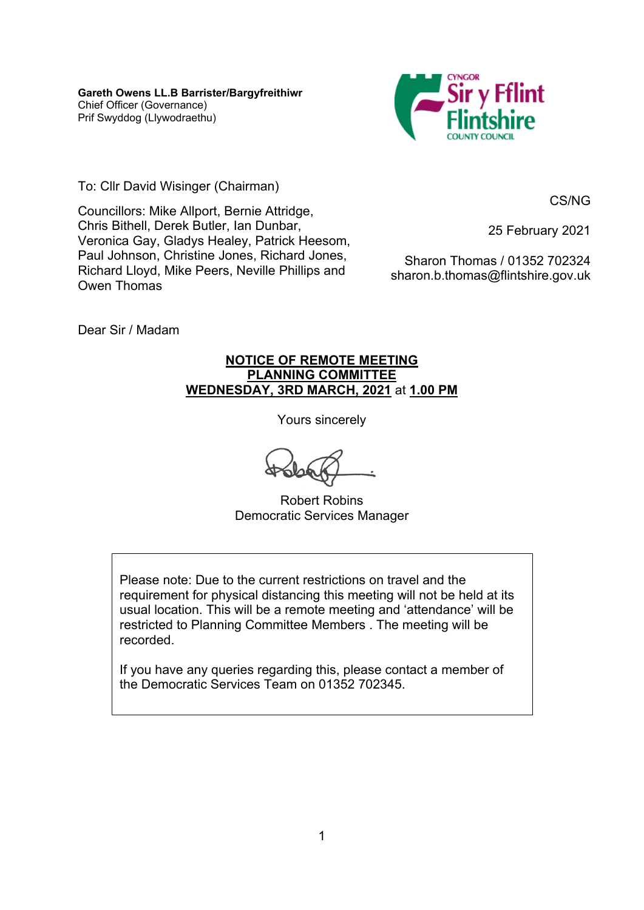

To: Cllr David Wisinger (Chairman)

CS/NG

Councillors: Mike Allport, Bernie Attridge, Chris Bithell, Derek Butler, Ian Dunbar, Veronica Gay, Gladys Healey, Patrick Heesom, Paul Johnson, Christine Jones, Richard Jones, Richard Lloyd, Mike Peers, Neville Phillips and Owen Thomas

25 February 2021

Sharon Thomas / 01352 702324 sharon.b.thomas@flintshire.gov.uk

Dear Sir / Madam

### **NOTICE OF REMOTE MEETING PLANNING COMMITTEE WEDNESDAY, 3RD MARCH, 2021** at **1.00 PM**

Yours sincerely

Robert Robins Democratic Services Manager

Please note: Due to the current restrictions on travel and the requirement for physical distancing this meeting will not be held at its usual location. This will be a remote meeting and 'attendance' will be restricted to Planning Committee Members . The meeting will be recorded.

If you have any queries regarding this, please contact a member of the Democratic Services Team on 01352 702345.